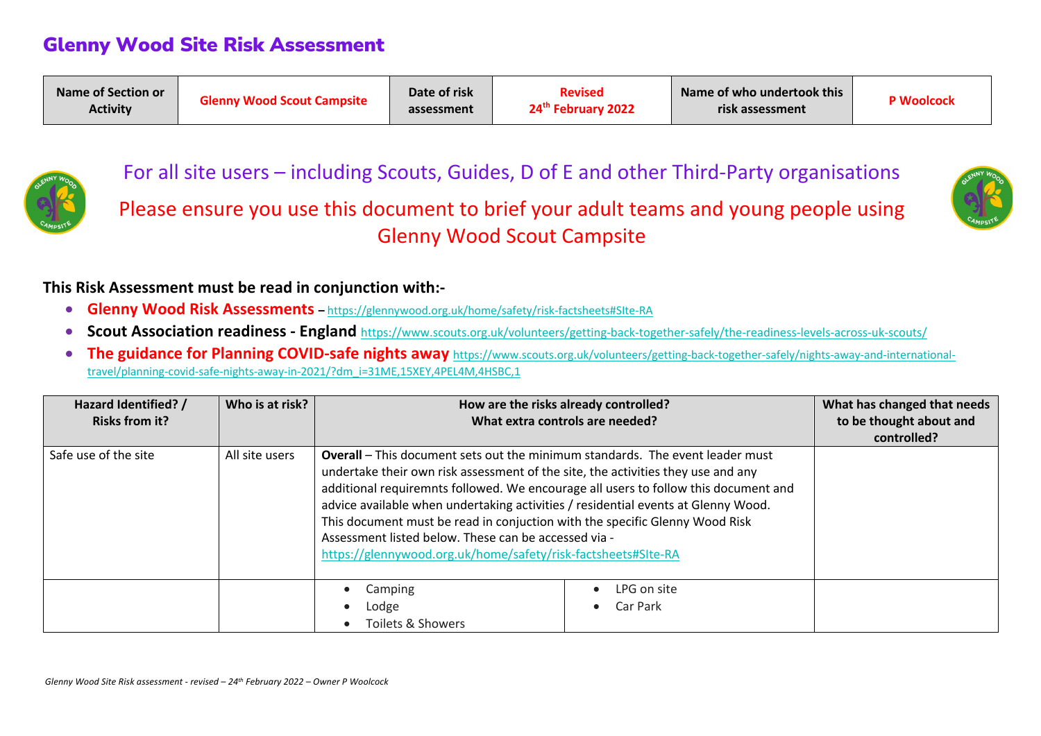

For all site users – including Scouts, Guides, D of E and other Third-Party organisations

Please ensure you use this document to brief your adult teams and young people using Glenny Wood Scout Campsite



#### **This Risk Assessment must be read in conjunction with:-**

- **Glenny Wood Risk Assessments –** https://glennywood.org.uk/home/safety/risk-factsheets#SIte-RA
- **Scout Association readiness - England** https://www.scouts.org.uk/volunteers/getting-back-together-safely/the-readiness-levels-across-uk-scouts/
- **The guidance for Planning COVID-safe nights away** https://www.scouts.org.uk/volunteers/getting-back-together-safely/nights-away-and-internationaltravel/planning-covid-safe-nights-away-in-2021/?dm\_i=31ME,15XEY,4PEL4M,4HSBC,1

| Hazard Identified? /<br><b>Risks from it?</b> | Who is at risk? |                                                                                                                                                                                                                                                                                                                                                                                                                                                                                                                                                              | How are the risks already controlled?<br>What extra controls are needed? | What has changed that needs<br>to be thought about and<br>controlled? |
|-----------------------------------------------|-----------------|--------------------------------------------------------------------------------------------------------------------------------------------------------------------------------------------------------------------------------------------------------------------------------------------------------------------------------------------------------------------------------------------------------------------------------------------------------------------------------------------------------------------------------------------------------------|--------------------------------------------------------------------------|-----------------------------------------------------------------------|
| Safe use of the site                          | All site users  | <b>Overall</b> – This document sets out the minimum standards. The event leader must<br>undertake their own risk assessment of the site, the activities they use and any<br>additional requiremnts followed. We encourage all users to follow this document and<br>advice available when undertaking activities / residential events at Glenny Wood.<br>This document must be read in conjuction with the specific Glenny Wood Risk<br>Assessment listed below. These can be accessed via -<br>https://glennywood.org.uk/home/safety/risk-factsheets#SIte-RA |                                                                          |                                                                       |
|                                               |                 | Camping<br>Lodge<br>Toilets & Showers                                                                                                                                                                                                                                                                                                                                                                                                                                                                                                                        | LPG on site<br>Car Park                                                  |                                                                       |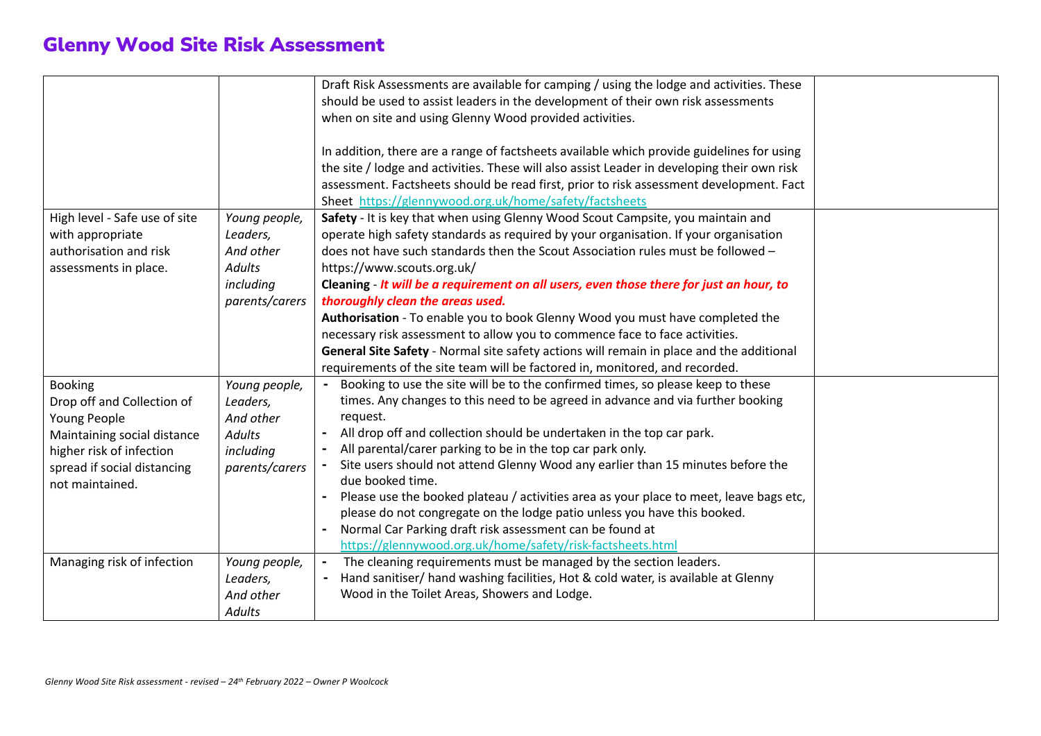|                               |                | Draft Risk Assessments are available for camping / using the lodge and activities. These    |  |
|-------------------------------|----------------|---------------------------------------------------------------------------------------------|--|
|                               |                | should be used to assist leaders in the development of their own risk assessments           |  |
|                               |                | when on site and using Glenny Wood provided activities.                                     |  |
|                               |                |                                                                                             |  |
|                               |                | In addition, there are a range of factsheets available which provide guidelines for using   |  |
|                               |                | the site / lodge and activities. These will also assist Leader in developing their own risk |  |
|                               |                | assessment. Factsheets should be read first, prior to risk assessment development. Fact     |  |
|                               |                | Sheet https://glennywood.org.uk/home/safety/factsheets                                      |  |
|                               |                |                                                                                             |  |
| High level - Safe use of site | Young people,  | Safety - It is key that when using Glenny Wood Scout Campsite, you maintain and             |  |
| with appropriate              | Leaders,       | operate high safety standards as required by your organisation. If your organisation        |  |
| authorisation and risk        | And other      | does not have such standards then the Scout Association rules must be followed -            |  |
| assessments in place.         | <b>Adults</b>  | https://www.scouts.org.uk/                                                                  |  |
|                               | including      | Cleaning - It will be a requirement on all users, even those there for just an hour, to     |  |
|                               | parents/carers | thoroughly clean the areas used.                                                            |  |
|                               |                | Authorisation - To enable you to book Glenny Wood you must have completed the               |  |
|                               |                | necessary risk assessment to allow you to commence face to face activities.                 |  |
|                               |                | General Site Safety - Normal site safety actions will remain in place and the additional    |  |
|                               |                | requirements of the site team will be factored in, monitored, and recorded.                 |  |
| <b>Booking</b>                | Young people,  | Booking to use the site will be to the confirmed times, so please keep to these             |  |
| Drop off and Collection of    | Leaders,       | times. Any changes to this need to be agreed in advance and via further booking             |  |
| Young People                  | And other      | request.                                                                                    |  |
| Maintaining social distance   | <b>Adults</b>  | All drop off and collection should be undertaken in the top car park.                       |  |
| higher risk of infection      | including      | All parental/carer parking to be in the top car park only.                                  |  |
| spread if social distancing   | parents/carers | Site users should not attend Glenny Wood any earlier than 15 minutes before the             |  |
| not maintained.               |                | due booked time.                                                                            |  |
|                               |                | Please use the booked plateau / activities area as your place to meet, leave bags etc,      |  |
|                               |                | please do not congregate on the lodge patio unless you have this booked.                    |  |
|                               |                | Normal Car Parking draft risk assessment can be found at                                    |  |
|                               |                | https://glennywood.org.uk/home/safety/risk-factsheets.html                                  |  |
| Managing risk of infection    | Young people,  | The cleaning requirements must be managed by the section leaders.                           |  |
|                               | Leaders,       | Hand sanitiser/ hand washing facilities, Hot & cold water, is available at Glenny           |  |
|                               | And other      | Wood in the Toilet Areas, Showers and Lodge.                                                |  |
|                               | <b>Adults</b>  |                                                                                             |  |
|                               |                |                                                                                             |  |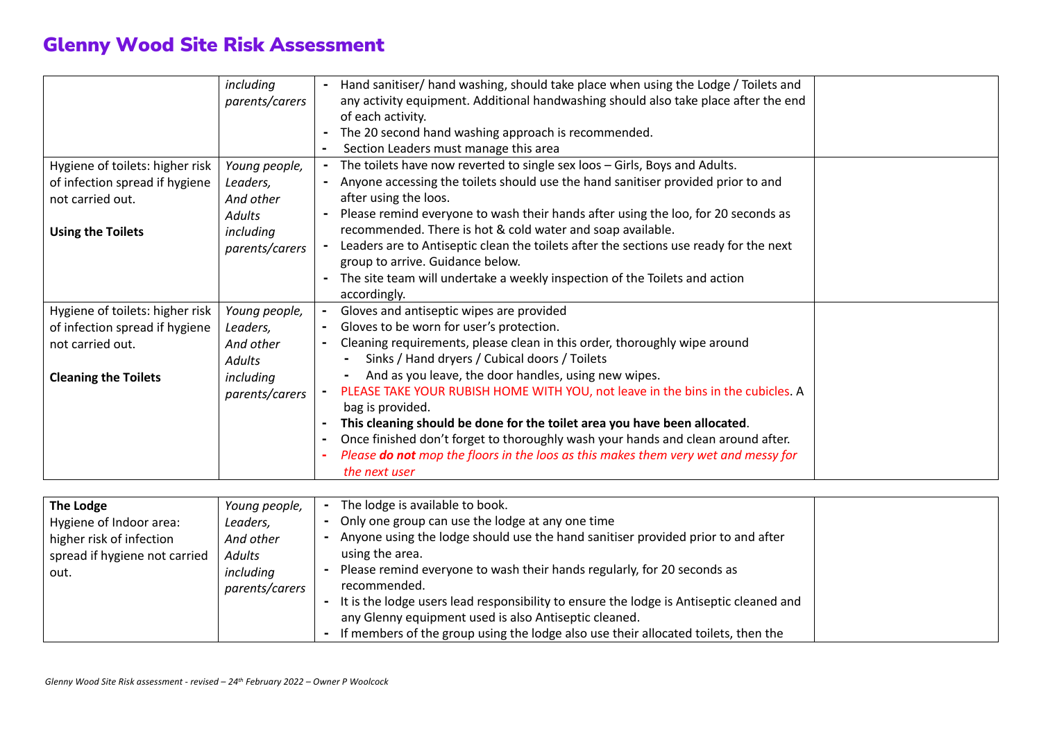|                                 | including      | Hand sanitiser/hand washing, should take place when using the Lodge / Toilets and     |  |
|---------------------------------|----------------|---------------------------------------------------------------------------------------|--|
|                                 | parents/carers | any activity equipment. Additional handwashing should also take place after the end   |  |
|                                 |                | of each activity.                                                                     |  |
|                                 |                | The 20 second hand washing approach is recommended.                                   |  |
|                                 |                | Section Leaders must manage this area                                                 |  |
| Hygiene of toilets: higher risk | Young people,  | The toilets have now reverted to single sex loos - Girls, Boys and Adults.            |  |
| of infection spread if hygiene  | Leaders,       | Anyone accessing the toilets should use the hand sanitiser provided prior to and      |  |
| not carried out.                | And other      | after using the loos.                                                                 |  |
|                                 | <b>Adults</b>  | Please remind everyone to wash their hands after using the loo, for 20 seconds as     |  |
| <b>Using the Toilets</b>        | including      | recommended. There is hot & cold water and soap available.                            |  |
|                                 | parents/carers | Leaders are to Antiseptic clean the toilets after the sections use ready for the next |  |
|                                 |                | group to arrive. Guidance below.                                                      |  |
|                                 |                | The site team will undertake a weekly inspection of the Toilets and action            |  |
|                                 |                | accordingly.                                                                          |  |
| Hygiene of toilets: higher risk | Young people,  | Gloves and antiseptic wipes are provided                                              |  |
| of infection spread if hygiene  | Leaders,       | Gloves to be worn for user's protection.                                              |  |
| not carried out.                | And other      | Cleaning requirements, please clean in this order, thoroughly wipe around             |  |
|                                 | <b>Adults</b>  | Sinks / Hand dryers / Cubical doors / Toilets                                         |  |
| <b>Cleaning the Toilets</b>     | including      | And as you leave, the door handles, using new wipes.                                  |  |
|                                 | parents/carers | PLEASE TAKE YOUR RUBISH HOME WITH YOU, not leave in the bins in the cubicles. A       |  |
|                                 |                | bag is provided.                                                                      |  |
|                                 |                | This cleaning should be done for the toilet area you have been allocated.             |  |
|                                 |                | Once finished don't forget to thoroughly wash your hands and clean around after.      |  |
|                                 |                | Please do not mop the floors in the loos as this makes them very wet and messy for    |  |
|                                 |                | the next user                                                                         |  |
|                                 |                |                                                                                       |  |

| The Lodge                     | Young people,  | The lodge is available to book.                                                         |  |
|-------------------------------|----------------|-----------------------------------------------------------------------------------------|--|
| Hygiene of Indoor area:       | Leaders,       | Only one group can use the lodge at any one time<br>$\blacksquare$                      |  |
| higher risk of infection      | And other      | Anyone using the lodge should use the hand sanitiser provided prior to and after        |  |
| spread if hygiene not carried | Adults         | using the area.                                                                         |  |
| out.                          | including      | Please remind everyone to wash their hands regularly, for 20 seconds as                 |  |
|                               | parents/carers | recommended.                                                                            |  |
|                               |                | It is the lodge users lead responsibility to ensure the lodge is Antiseptic cleaned and |  |
|                               |                | any Glenny equipment used is also Antiseptic cleaned.                                   |  |
|                               |                | If members of the group using the lodge also use their allocated toilets, then the      |  |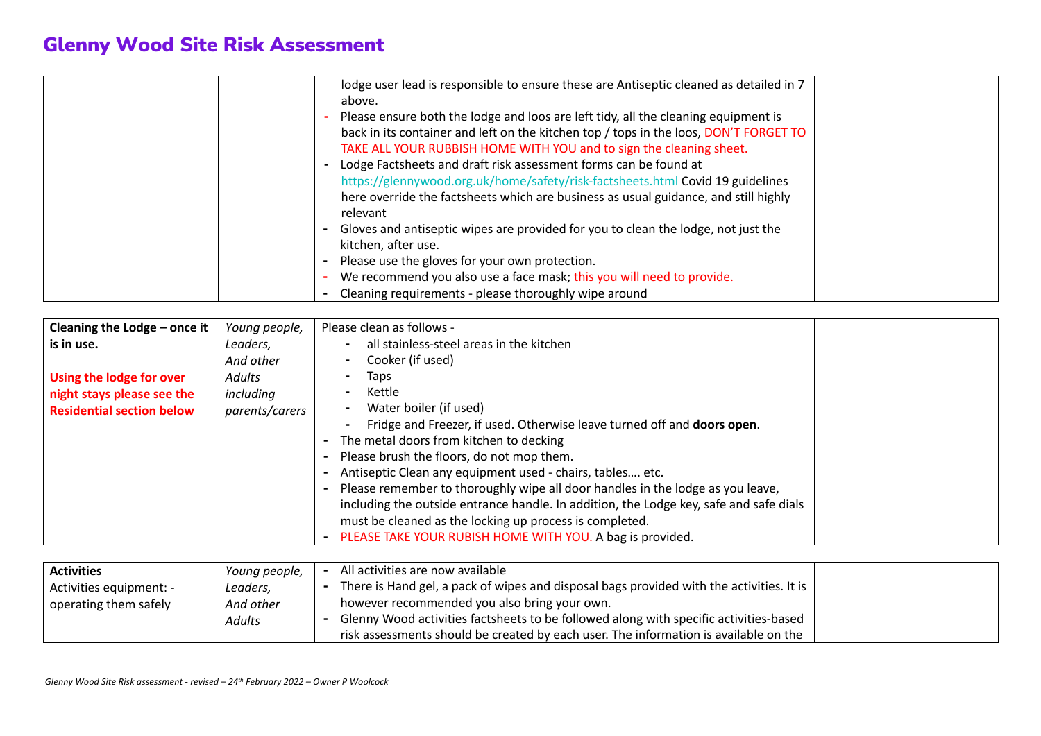| lodge user lead is responsible to ensure these are Antiseptic cleaned as detailed in 7<br>above.<br>Please ensure both the lodge and loos are left tidy, all the cleaning equipment is<br>back in its container and left on the kitchen top / tops in the loos, DON'T FORGET TO<br>TAKE ALL YOUR RUBBISH HOME WITH YOU and to sign the cleaning sheet.<br>Lodge Factsheets and draft risk assessment forms can be found at<br>https://glennywood.org.uk/home/safety/risk-factsheets.html Covid 19 guidelines<br>here override the factsheets which are business as usual guidance, and still highly<br>relevant<br>Gloves and antiseptic wipes are provided for you to clean the lodge, not just the |  |
|------------------------------------------------------------------------------------------------------------------------------------------------------------------------------------------------------------------------------------------------------------------------------------------------------------------------------------------------------------------------------------------------------------------------------------------------------------------------------------------------------------------------------------------------------------------------------------------------------------------------------------------------------------------------------------------------------|--|
|                                                                                                                                                                                                                                                                                                                                                                                                                                                                                                                                                                                                                                                                                                      |  |
| kitchen, after use.                                                                                                                                                                                                                                                                                                                                                                                                                                                                                                                                                                                                                                                                                  |  |
| Please use the gloves for your own protection.                                                                                                                                                                                                                                                                                                                                                                                                                                                                                                                                                                                                                                                       |  |
| We recommend you also use a face mask; this you will need to provide.                                                                                                                                                                                                                                                                                                                                                                                                                                                                                                                                                                                                                                |  |
| Cleaning requirements - please thoroughly wipe around                                                                                                                                                                                                                                                                                                                                                                                                                                                                                                                                                                                                                                                |  |

| Cleaning the Lodge - once it     | Young people,  | Please clean as follows -                                                              |
|----------------------------------|----------------|----------------------------------------------------------------------------------------|
| is in use.                       | Leaders,       | all stainless-steel areas in the kitchen                                               |
|                                  | And other      | Cooker (if used)                                                                       |
| Using the lodge for over         | Adults         | Taps                                                                                   |
| night stays please see the       | including      | Kettle                                                                                 |
| <b>Residential section below</b> | parents/carers | Water boiler (if used)                                                                 |
|                                  |                | Fridge and Freezer, if used. Otherwise leave turned off and doors open.                |
|                                  |                | The metal doors from kitchen to decking                                                |
|                                  |                | Please brush the floors, do not mop them.                                              |
|                                  |                | Antiseptic Clean any equipment used - chairs, tables etc.                              |
|                                  |                | Please remember to thoroughly wipe all door handles in the lodge as you leave,         |
|                                  |                | including the outside entrance handle. In addition, the Lodge key, safe and safe dials |
|                                  |                | must be cleaned as the locking up process is completed.                                |
|                                  |                | PLEASE TAKE YOUR RUBISH HOME WITH YOU. A bag is provided.<br>$\blacksquare$            |

| <b>Activities</b>       | Young people, | All activities are now available                                                         |  |
|-------------------------|---------------|------------------------------------------------------------------------------------------|--|
| Activities equipment: - | Leaders,      | There is Hand gel, a pack of wipes and disposal bags provided with the activities. It is |  |
| operating them safely   | And other     | however recommended you also bring your own.                                             |  |
|                         | Adults        | Glenny Wood activities factsheets to be followed along with specific activities-based    |  |
|                         |               | risk assessments should be created by each user. The information is available on the     |  |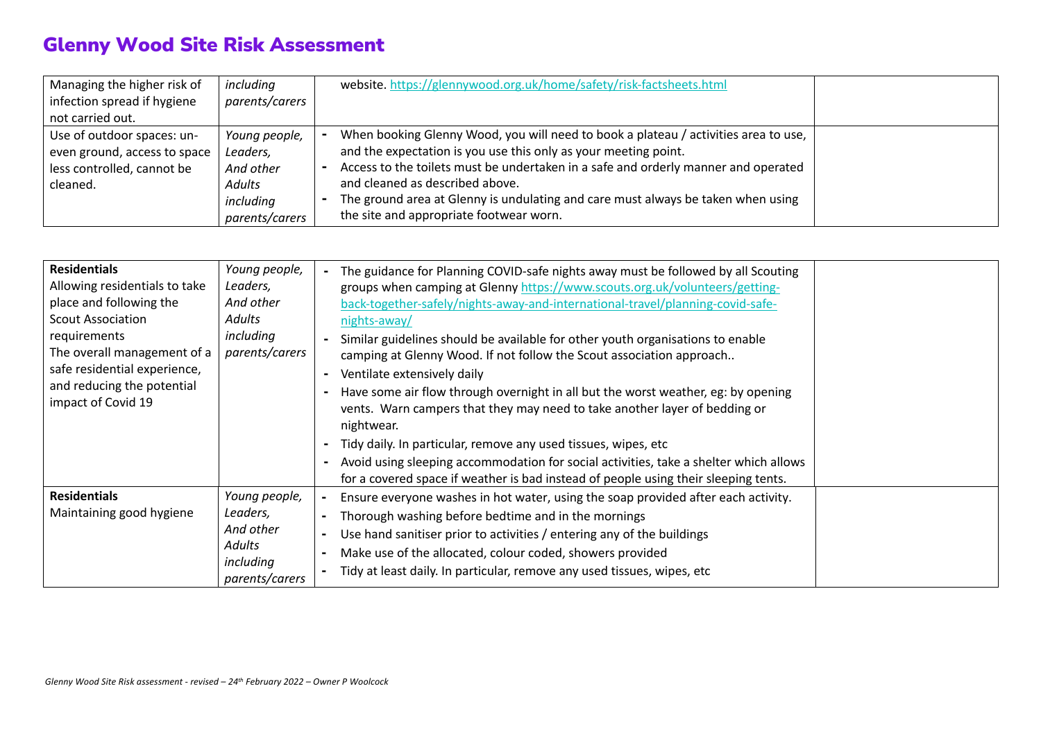| Managing the higher risk of  | including      | website.https://glennywood.org.uk/home/safety/risk-factsheets.html                  |  |
|------------------------------|----------------|-------------------------------------------------------------------------------------|--|
| infection spread if hygiene  | parents/carers |                                                                                     |  |
| not carried out.             |                |                                                                                     |  |
| Use of outdoor spaces: un-   | Young people,  | When booking Glenny Wood, you will need to book a plateau / activities area to use, |  |
| even ground, access to space | Leaders,       | and the expectation is you use this only as your meeting point.                     |  |
| less controlled, cannot be   | And other      | Access to the toilets must be undertaken in a safe and orderly manner and operated  |  |
| cleaned.                     | Adults         | and cleaned as described above.                                                     |  |
|                              | including      | The ground area at Glenny is undulating and care must always be taken when using    |  |
|                              | parents/carers | the site and appropriate footwear worn.                                             |  |

| <b>Residentials</b><br>Allowing residentials to take<br>place and following the<br><b>Scout Association</b><br>requirements<br>The overall management of a<br>safe residential experience,<br>and reducing the potential<br>impact of Covid 19 | Young people,<br>Leaders,<br>And other<br>Adults<br>including<br>parents/carers | The guidance for Planning COVID-safe nights away must be followed by all Scouting<br>groups when camping at Glenny https://www.scouts.org.uk/volunteers/getting-<br>back-together-safely/nights-away-and-international-travel/planning-covid-safe-<br>nights-away/<br>Similar guidelines should be available for other youth organisations to enable<br>camping at Glenny Wood. If not follow the Scout association approach<br>Ventilate extensively daily<br>Have some air flow through overnight in all but the worst weather, eg: by opening<br>vents. Warn campers that they may need to take another layer of bedding or<br>nightwear.<br>Tidy daily. In particular, remove any used tissues, wipes, etc<br>Avoid using sleeping accommodation for social activities, take a shelter which allows<br>for a covered space if weather is bad instead of people using their sleeping tents. |
|------------------------------------------------------------------------------------------------------------------------------------------------------------------------------------------------------------------------------------------------|---------------------------------------------------------------------------------|------------------------------------------------------------------------------------------------------------------------------------------------------------------------------------------------------------------------------------------------------------------------------------------------------------------------------------------------------------------------------------------------------------------------------------------------------------------------------------------------------------------------------------------------------------------------------------------------------------------------------------------------------------------------------------------------------------------------------------------------------------------------------------------------------------------------------------------------------------------------------------------------|
| <b>Residentials</b><br>Maintaining good hygiene                                                                                                                                                                                                | Young people,<br>Leaders,<br>And other<br>Adults<br>including<br>parents/carers | Ensure everyone washes in hot water, using the soap provided after each activity.<br>Thorough washing before bedtime and in the mornings<br>Use hand sanitiser prior to activities / entering any of the buildings<br>Make use of the allocated, colour coded, showers provided<br>Tidy at least daily. In particular, remove any used tissues, wipes, etc                                                                                                                                                                                                                                                                                                                                                                                                                                                                                                                                     |